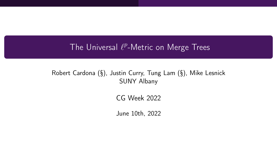# The Universal  $\ell^p$ -Metric on Merge Trees

#### Robert Cardona (§), Justin Curry, Tung Lam (§), Mike Lesnick SUNY Albany

CG Week 2022

June 10th, 2022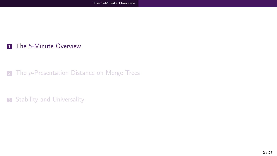#### <span id="page-1-0"></span>**1** [The 5-Minute Overview](#page-1-0)

#### 2 The p[-Presentation Distance on Merge Trees](#page-8-0)

**3** [Stability and Universality](#page-18-0)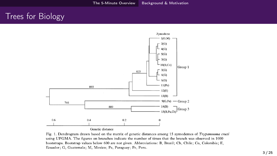### <span id="page-2-0"></span>Trees for Biology



Fig. 1. Dendrogram drawn based on the matrix of genetic distances among 15 zymodemes of Trypanosoma cruzi using UPGMA. The figures on branches indicate the number of times that the branch was observed in 1000 bootstraps. Bootstrap values below 600 are not given. Abbreviations: B, Brazil; Ch, Chile; Co, Colombia; E, Ecuador; G, Guatemala; M, Mexico; Pa, Paraguay; Pe, Peru.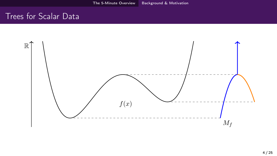### Trees for Scalar Data

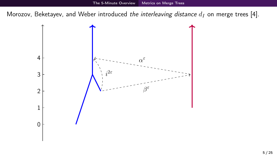<span id="page-4-0"></span>Morozov, Beketayev, and Weber introduced the interleaving distance  $d_I$  on merge trees [\[4\]](#page-24-0).

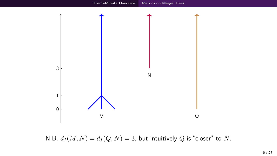

N.B.  $d_I(M, N) = d_I(Q, N) = 3$ , but intuitively Q is "closer" to N.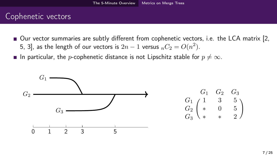### Cophenetic vectors

- Our vector summaries are subtly different from cophenetic vectors, i.e. the LCA matrix [\[2,](#page-24-1) [5,](#page-25-0) [3\]](#page-24-2), as the length of our vectors is  $2n-1$  versus  ${_{n}}C_{2}=O(n^{2}).$
- **■** In particular, the *p*-cophenetic distance is not Lipschitz stable for  $p \neq \infty$ .

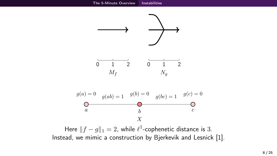<span id="page-7-0"></span>



Here  $|| f - g ||_1 = 2$ , while  $\ell^1$ -cophenetic distance is 3. Instead, we mimic a construction by Bjerkevik and Lesnick [\[1\]](#page-24-3).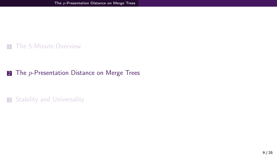<span id="page-8-0"></span>**1** [The 5-Minute Overview](#page-1-0)

#### 2 The  $p$ [-Presentation Distance on Merge Trees](#page-8-0)

**3** [Stability and Universality](#page-18-0)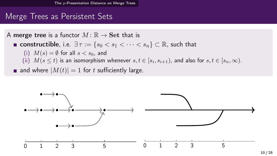### Merge Trees as Persistent Sets

A merge tree is a functor  $M : \mathbb{R} \to \mathbf{Set}$  that is **■ constructible**, i.e.  $\exists \tau := \{s_0 < s_1 < \cdots < s_n\} \subset \mathbb{R}$ , such that (i)  $M(s) = \emptyset$  for all  $s < s_0$ , and (ii)  $M(s \leq t)$  is an isomorphism whenever  $s,t \in [s_i,s_{i+1})$ , and also for  $s,t \in [s_n,\infty)$ . and where  $|M(t)| = 1$  for t sufficiently large.

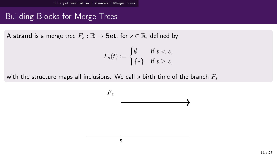# Building Blocks for Merge Trees

A strand is a merge tree  $F_s : \mathbb{R} \to \mathbf{Set}$ , for  $s \in \mathbb{R}$ , defined by

$$
F_s(t) := \begin{cases} \emptyset & \text{if } t < s, \\ \{\ast\} & \text{if } t \ge s, \end{cases}
$$

with the structure maps all inclusions. We call s birth time of the branch  $F_s$ 

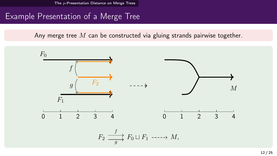# Example Presentation of a Merge Tree

Any merge tree  $M$  can be constructed via gluing strands pairwise together.

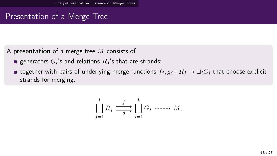# Presentation of a Merge Tree

A presentation of a merge tree  $M$  consists of

- generators  $G_i$ 's and relations  $R_j$ 's that are strands;
- **together with pairs of underlying merge functions**  $f_i, g_j : R_i \to \sqcup_i G_i$  that choose explicit strands for merging.

$$
\bigsqcup_{j=1}^{l} R_j \xrightarrow{f} \bigsqcup_{s=1}^{k} G_i \longrightarrow M,
$$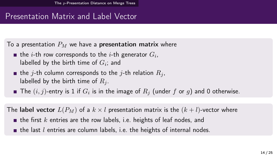# Presentation Matrix and Label Vector

To a presentation  $P_M$  we have a presentation matrix where

- the  $i$ -th row corresponds to the  $i\text{-}\mathsf{th}$  generator  $G_i,$ labelled by the birth time of  $G_i$ ; and
- **the j-th column corresponds to the j-th relation**  $R_i$ , labelled by the birth time of  $R_i$ .
- The  $(i,j)\text{-entry}$  is  $1$  if  $G_i$  is in the image of  $R_j$  (under  $f$  or  $g$ ) and 0 otherwise.

The label vector  $L(P_M)$  of a  $k \times l$  presentation matrix is the  $(k + l)$ -vector where

- $\blacksquare$  the first k entries are the row labels, i.e. heights of leaf nodes, and
- $\blacksquare$  the last l entries are column labels, i.e. the heights of internal nodes.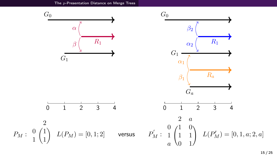The p[-Presentation Distance on Merge Trees](#page-8-0)

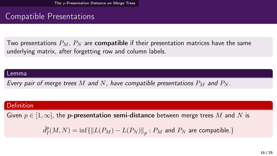### Compatible Presentations

Two presentations  $P_M$ ,  $P_N$  are **compatible** if their presentation matrices have the same underlying matrix, after forgetting row and column labels.

#### Lemma

Every pair of merge trees M and N, have compatible presentations  $P_M$  and  $P_N$ .

#### Definition

Given  $p \in [1,\infty]$ , the *p*-presentation semi-distance between merge trees M and N is

 $\hat{d}^p_I$  $I^p_I(M,N) = \inf \{ \| L(P_M) - L(P_N) \|_p : P_M \text{ and } P_N \text{ are compatible.} \}$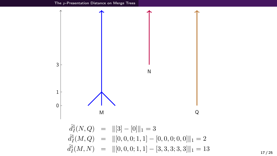The p[-Presentation Distance on Merge Trees](#page-8-0)

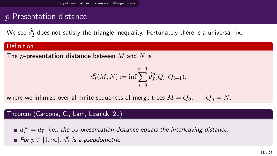# p-Presentation distance

We see  $\hat{d}^{p}_{I}$  $_I^p$  does not satisfy the triangle inequality. Fortunately there is a universal fix.

#### Definition

The *p*-presentation distance between  $M$  and  $N$  is

$$
d_I^p(M, N) := \inf \sum_{i=0}^{n-1} \hat{d}_I^p(Q_i, Q_{i+1}),
$$

where we infimize over all finite sequences of merge trees  $M = Q_0, \ldots, Q_n = N$ .

#### Theorem (Cardona, C., Lam, Lesnick '21)

 $d_I^\infty = d_I$ , i.e., the  $\infty$ -presentation distance equals the interleaving distance. For  $p \in [1,\infty]$ ,  $d_I^p$  $_{I}^{p}$  is a pseudometric.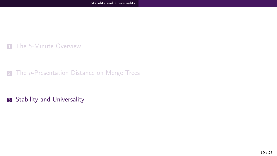<span id="page-18-0"></span>**1** [The 5-Minute Overview](#page-1-0)

2 The p[-Presentation Distance on Merge Trees](#page-8-0)

**3** [Stability and Universality](#page-18-0)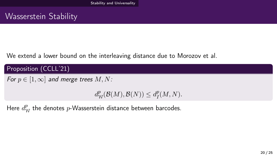### Wasserstein Stability

We extend a lower bound on the interleaving distance due to Morozov et al.

Proposition (CCLL'21)

For  $p \in [1, \infty]$  and merge trees  $M, N$ :

 $d_{\mathcal{W}}^p(\mathcal{B}(M), \mathcal{B}(N)) \leq d_I^p$  $I^p(M,N)$ .

Here  $d_{\mathcal{W}}^{p}$  the denotes  $p$ -Wasserstein distance between barcodes.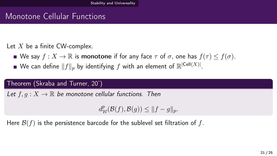# Monotone Cellular Functions

Let  $X$  be a finite CW-complex.

- We say  $f: X \to \mathbb{R}$  is monotone if for any face  $\tau$  of  $\sigma$ , one has  $f(\tau) \leq f(\sigma)$ .
- We can define  $\|f\|_p$  by identifying  $f$  with an element of  $\mathbb{R}^{|\mathsf{Cell}(X)|}.$

#### Theorem (Skraba and Turner, 20')

Let  $f, g: X \to \mathbb{R}$  be monotone cellular functions. Then

 $d_{\mathcal{W}}^p(\mathcal{B}(f), \mathcal{B}(g)) \leq ||f - g||_p.$ 

Here  $\mathcal{B}(f)$  is the persistence barcode for the sublevel set filtration of f.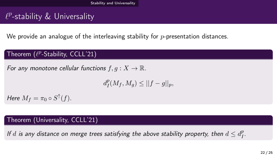# $\ell^p$ -stability  $\&$  Universality

We provide an analogue of the interleaving stability for  $p$ -presentation distances.

### Theorem  $(\ell^p\text{-Stability}, \, \text{CCLL'21})$

For any monotone cellular functions  $f, q: X \to \mathbb{R}$ .

 $d_I^p$  $I_I^p(M_f, M_g) \leq ||f - g||_p,$ 

Here  $M_f = \pi_0 \circ S^{\uparrow}(f)$ .

#### Theorem (Universality, CCLL'21)

If  $d$  is any distance on merge trees satisfying the above stability property, then  $d \leq d^p_I$  $^p_I$ .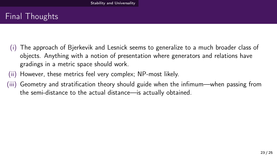# Final Thoughts

- (i) The approach of Bjerkevik and Lesnick seems to generalize to a much broader class of objects. Anything with a notion of presentation where generators and relations have gradings in a metric space should work.
- (ii) However, these metrics feel very complex; NP-most likely.
- (iii) Geometry and stratification theory should guide when the infimum—when passing from the semi-distance to the actual distance—is actually obtained.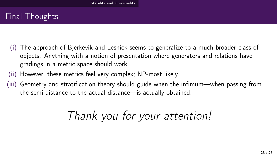# Final Thoughts

- (i) The approach of Bjerkevik and Lesnick seems to generalize to a much broader class of objects. Anything with a notion of presentation where generators and relations have gradings in a metric space should work.
- (ii) However, these metrics feel very complex; NP-most likely.
- (iii) Geometry and stratification theory should guide when the infimum—when passing from the semi-distance to the actual distance—is actually obtained.

# Thank you for your attention!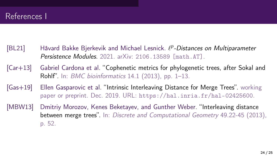- <span id="page-24-3"></span>[BL21] Håvard Bakke Bjerkevik and Michael Lesnick.  $\ell^p$ -Distances on Multiparameter Persistence Modules. 2021. arXiv: [2106.13589 \[math.AT\]](https://arxiv.org/abs/2106.13589).
- <span id="page-24-1"></span>[Car+13] Gabriel Cardona et al. "Cophenetic metrics for phylogenetic trees, after Sokal and Rohlf". In: BMC bioinformatics 14.1 (2013), pp. 1–13.
- <span id="page-24-2"></span>[Gas+19] Ellen Gasparovic et al. "Intrinsic Interleaving Distance for Merge Trees". working paper or preprint. Dec. 2019. URL: <https://hal.inria.fr/hal-02425600>.
- <span id="page-24-0"></span>[MBW13] Dmitriy Morozov, Kenes Beketayev, and Gunther Weber. "Interleaving distance between merge trees". In: Discrete and Computational Geometry 49.22-45 (2013), p. 52.